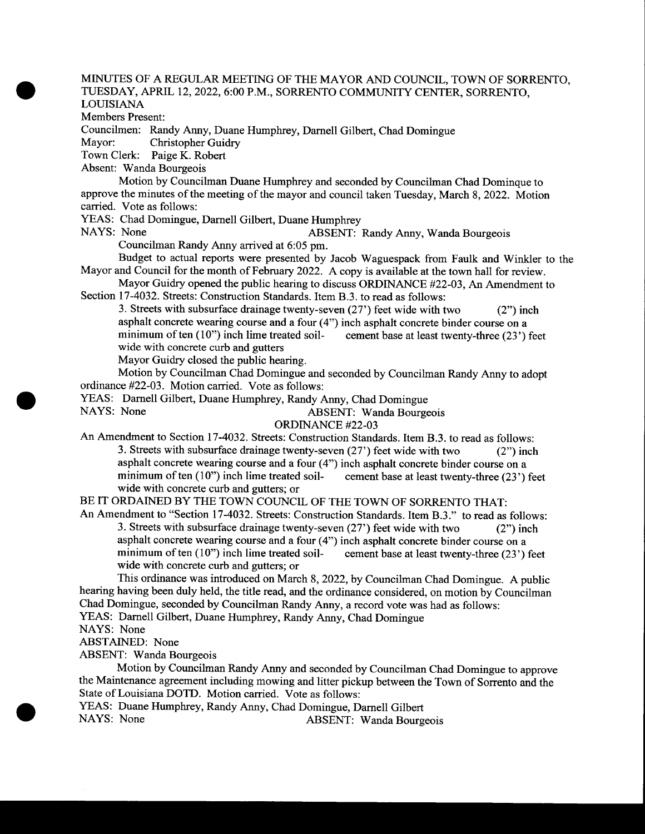### MINUTES OF A REGULAR MEETING OF THE MAYOR AND COUNCIL, TOWN OF SORRENTO, TUESDAY, APRIL 12, 2022, 6:00 P.M., SORRENTO COMMUNITY CENTER, SORRENTO, LOUISIANA

Members Present:

 $\bullet$ 

Councilmen: Randy Anny, Duane Humphrey, Darnell Gilbert, Chad Domingue

Christopher Guidry

Town Clerk: Paige K. Robert

Absent: Wanda Bourgeois

Motion by Councilman Duane Humphrey and seconded by Councilman Chad Dominque to approve the minutes of the meeting of the mayor and council taken Tuesday, March 8, 2022. Motion carried. Vote as follows:

YEAS: Chad Domingue, Darnell Gilbert, Duane Humphrey<br>NAYS: None ABSENT:

ABSENT: Randy Anny, Wanda Bourgeois

Councilman Randy Anny arrived at 6:05 pm.

Budget to actual reports were presented by Jacob Waguespack from Faulk and Winkler to the Mayor and Council for the month of February 2022. A copy is available at the town hall for review.

Mayor Guidry opened the public hearing to discuss ORDINANCE #22-03, An Amendment to Section 17-4032. Streets: Construction Standards. Item B.3. to read as follows:

3. Streets with subsurface drainage twenty-seven  $(27')$  feet wide with two  $(2'')$  inch asphalt concrete wearing course and a four  $(4")$  inch asphalt concrete binder course on a minimum of ten  $(10")$  inch lime treated soil-<br>cement base at least twenty-three  $(23')$  feet minimum of ten $(10")$  inch lime treated soilwide with concrete curb and gutters

Mayor Guidry closed the public hearing.

Motion by Councilman Chad Domingue and seconded by Councilman Randy Anny to adopt ordinance #22-03. Motion carried. Vote as follows:

YEAS: Darnell Gilbert, Duane Humphrey, Randy Anny, Chad Domingue

ABSENT: Wanda Bourgeois

ORDINANCE #22-03

An Amendment to Section 17-4032. Streets: Construction Standards. Item B.3. to read as follows: 3. Streets with subsurface drainage twenty-seven  $(27')$  feet wide with two  $(2'')$  inch asphalt concrete wearing course and a four (4") inch asphalt concrete binder course on a minimum of ten  $(10")$  inch lime treated soil- cement base at least twenty-three  $(23')$  feet wide with concrete curb and gutters; or

BE IT ORDAINED BY THE TOWN COUNCIL OF THE TOWN OF SORRENTO THAT:

An Amendment to "Section 17-4032. Streets: Construction Standards. Item B.3." to read as follows: 3. Streets with subsurface drainage twenty-seven (27') feet wide with two (2") inch asphalt concrete wearing course and a four  $(4")$  inch asphalt concrete binder course on a minimum of ten  $(10")$  inch lime treated soil-<br>cement base at least twenty-three  $(23')$  feet minimum of ten  $(10")$  inch lime treated soilwide with concrete curb and gutters; or

This ordinance was introduced on March 8, 2022, by Councilman Chad Domingue. A public hearing having been duly held, the title read, and the ordinance considered, on motion by Councilman Chad Domingue, seconded by Councilman Randy Anny, a record vote was had as follows: YEAS: Darnell Gilbert, Duane Humphrey, Randy Anny, Chad Domingue

NAYS: None

ABSTAINED: None

ABSENT: Wanda Bourgeois

Motion by Councilman Randy Anny and seconded by Councilman Chad Domingue to approve the Maintenance agreement including mowing and litter pickup between the Town of Sorrento and the State of Louisiana DOTD. Motion carried. Vote as follows:

YEAS: Duane Humphrey, Randy Anny, Chad Domingue, Darnell Gilbert<br>NAYS: None ABSENT: Wanda Bourg

ABSENT: Wanda Bourgeois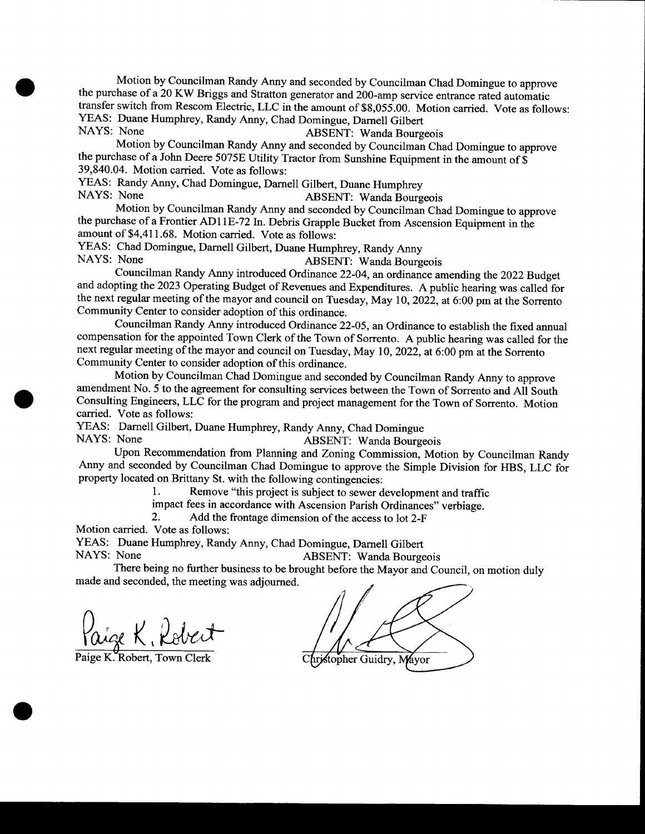Motion by Councilman Randy Army and seconded by Councilman Chad Domingue to approve the purchase of <sup>a</sup> 20 KW Briggs and Stratton generator and 200-amp service entrance rated automatic transfer switch from Rescom Electric, LLC in the amount of \$8,055.00. Motion carried. Vote as follows: YEAS: Duane Humphrey, Randy Anny, Chad Domingue, Darnell Gilbert<br>NAYS: None ARSENT: Wanda Bourg ABSENT: Wanda Bourgeois

Motion by Councilman Randy Anny and seconded by Councilman Chad Domingue to approve the purchase of a John Deere 5075E Utility Tractor from Sunshine Equipment in the amount of \$ 39, 840. 04. Motion carried. Vote as follows:

YEAS: Randy Anny, Chad Domingue, Darnell Gilbert, Duane Humphrey<br>NAYS: None ARSENT: Wanda Bourg

ABSENT: Wanda Bourgeois

Motion by Councilman Randy Anny and seconded by Councilman Chad Domingue to approve the purchase of <sup>a</sup> Frontier AD11E-72 In. Debris Grapple Bucket from Ascension Equipment in the amount of \$4,411.68. Motion carried. Vote as follows:

YEAS: Chad Domingue, Darnell Gilbert, Duane Humphrey, Randy Anny<br>NAYS: None ABSENT: Wanda Bourg

ABSENT: Wanda Bourgeois

Councilman Randy Anny introduced Ordinance 22-04, an ordinance amending the 2022 Budget and adopting the 2023 Operating Budget of Revenues and Expenditures. A public hearing was called for the next regular meeting of the mayor and council on Tuesday, May 10, 2022, at 6:00 pm at the Sorrento Community Center to consider adoption of this ordinance.

Councilman Randy Anny introduced Ordinance 22-05, an Ordinance to establish the fixed annual compensation for the appointed Town Clerk of the Town of Sorrento. A public hearing was called for the next regular meeting of the mayor and council on Tuesday, May 10, 2022, at 6:00 pm at the Sorrento Community Center to consider adoption of this ordinance.

Motion by Councilman Chad Domingue and seconded by Councilman Randy Anny to approve amendment No. 5 to the agreement for consulting services between the Town of Sorrento and All South Consulting Engineers, LLC for the program and project management for the Town of Sorrento. Motion carried. Vote as follows:

YEAS: Darnell Gilbert, Duane Humphrey, Randy Anny, Chad Domingue ABSENT: Wanda Bourgeois

Upon Recommendation from Planning and Zoning Commission, Motion by Councilman Randy Anny and seconded by Councilman Chad Domingue to approve the Simple Division for HBS, LLC for property located on Brittany St. with the following contingencies:<br>
1. Remove "this project is subject to sewer d

Remove "this project is subject to sewer development and traffic

impact fees in accordance with Ascension Parish Ordinances" verbiage.<br>2. Add the frontage dimension of the access to lot 2-F

Add the frontage dimension of the access to lot 2-F

Motion carried. Vote as follows:

 $\blacksquare$ 

YEAS: Duane Humphrey, Randy Anny, Chad Domingue, Darnell Gilbert<br>NAYS: None ABSENT: Wanda Bourge ABSENT: Wanda Bourgeois

There being no further business to be brought before the Mayor and Council, on motion duly made and seconded, the meeting was adjourned.

aige K, Robert

Paige K. Robert, Town Clerk Christopher Guidry, Mayor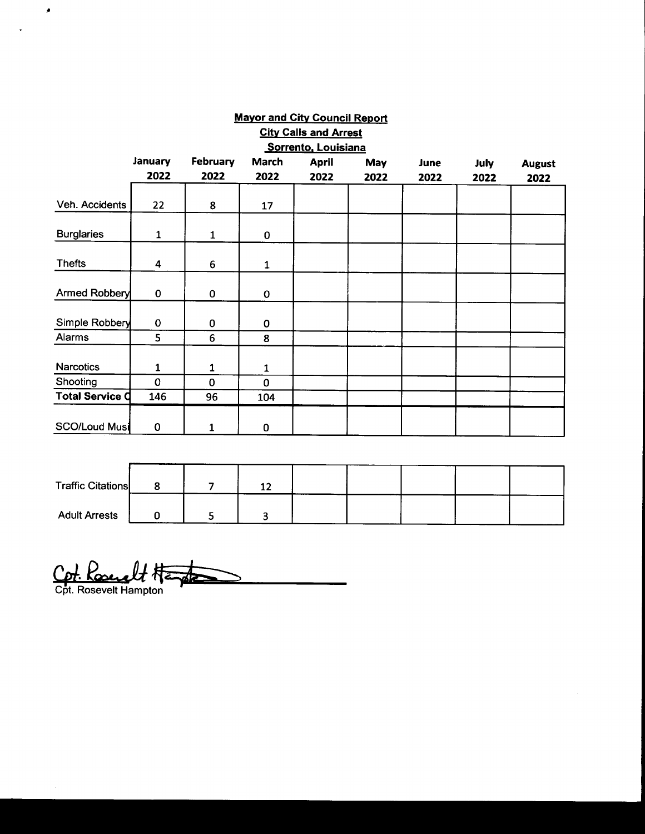| <b>Mayor and City Council Report</b> |                         |                 |              |              |            |      |             |               |  |
|--------------------------------------|-------------------------|-----------------|--------------|--------------|------------|------|-------------|---------------|--|
| <b>City Calls and Arrest</b>         |                         |                 |              |              |            |      |             |               |  |
| Sorrento, Louisiana                  |                         |                 |              |              |            |      |             |               |  |
|                                      | January                 | <b>February</b> | <b>March</b> | <b>April</b> | <b>May</b> | June | <b>July</b> | <b>August</b> |  |
|                                      | 2022                    | 2022            | 2022         | 2022         | 2022       | 2022 | 2022        | 2022          |  |
| Veh. Accidents                       | 22                      | 8               | 17           |              |            |      |             |               |  |
| <b>Burglaries</b>                    | $\mathbf{1}$            | $\mathbf{1}$    | 0            |              |            |      |             |               |  |
| <b>Thefts</b>                        | $\overline{\mathbf{4}}$ | 6               | 1            |              |            |      |             |               |  |
| Armed Robbery                        | 0                       | $\mathbf 0$     | $\mathbf 0$  |              |            |      |             |               |  |
| Simple Robbery                       | $\mathbf 0$             | 0               | 0            |              |            |      |             |               |  |
| Alarms                               | 5                       | $6\phantom{1}6$ | 8            |              |            |      |             |               |  |
| <b>Narcotics</b>                     | 1                       | 1               | $\mathbf{1}$ |              |            |      |             |               |  |
| Shooting                             | $\mathbf 0$             | $\Omega$        | $\mathbf 0$  |              |            |      |             |               |  |
| <b>Total Service O</b>               | 146                     | 96              | 104          |              |            |      |             |               |  |
| <b>SCO/Loud Musi</b>                 | 0                       | 1               | 0            |              |            |      |             |               |  |

| <b>Traffic Citations</b> |  | $\ddot{\phantom{1}}$<br>∸∸ |  |  |  |
|--------------------------|--|----------------------------|--|--|--|
| <b>Adult Arrests</b>     |  |                            |  |  |  |

Cpt. Kosey Cpt. Kosevelt Hampton

 $\bullet$ 

 $\ddot{\phantom{a}}$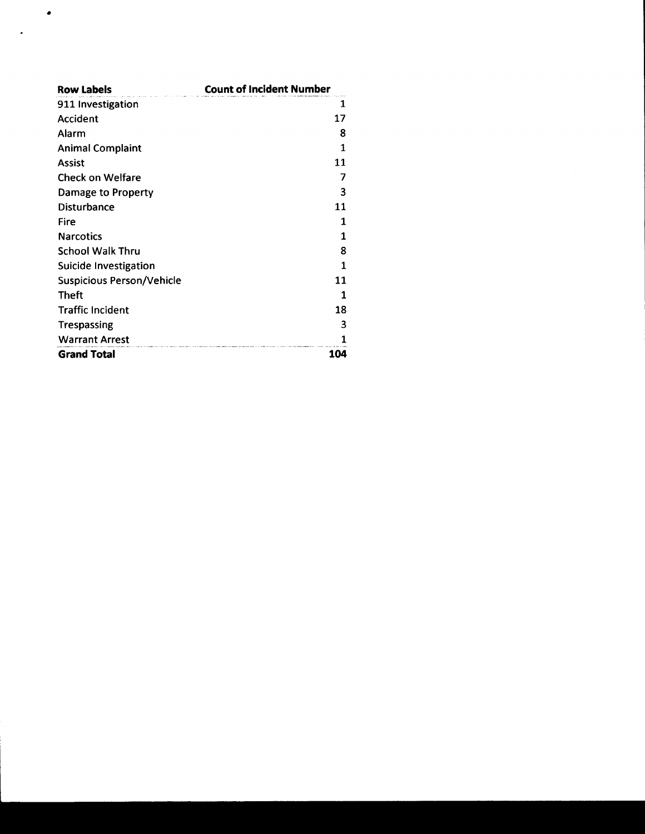| <b>Row Labels</b>                | <b>Count of Incident Number</b> |  |  |  |  |  |
|----------------------------------|---------------------------------|--|--|--|--|--|
| 911 Investigation                | 1                               |  |  |  |  |  |
| <b>Accident</b>                  | 17                              |  |  |  |  |  |
| Alarm                            | 8                               |  |  |  |  |  |
| <b>Animal Complaint</b>          | $\mathbf{1}$                    |  |  |  |  |  |
| <b>Assist</b>                    | 11                              |  |  |  |  |  |
| <b>Check on Welfare</b>          | 7                               |  |  |  |  |  |
| Damage to Property               | 3                               |  |  |  |  |  |
| <b>Disturbance</b>               | 11                              |  |  |  |  |  |
| Fire                             | 1                               |  |  |  |  |  |
| <b>Narcotics</b>                 | 1                               |  |  |  |  |  |
| <b>School Walk Thru</b>          | 8                               |  |  |  |  |  |
| Suicide Investigation            | 1                               |  |  |  |  |  |
| <b>Suspicious Person/Vehicle</b> | 11                              |  |  |  |  |  |
| Theft                            | 1                               |  |  |  |  |  |
| <b>Traffic Incident</b>          | 18                              |  |  |  |  |  |
| <b>Trespassing</b>               | 3                               |  |  |  |  |  |
| <b>Warrant Arrest</b>            |                                 |  |  |  |  |  |
| <b>Grand Total</b>               | 104                             |  |  |  |  |  |

۰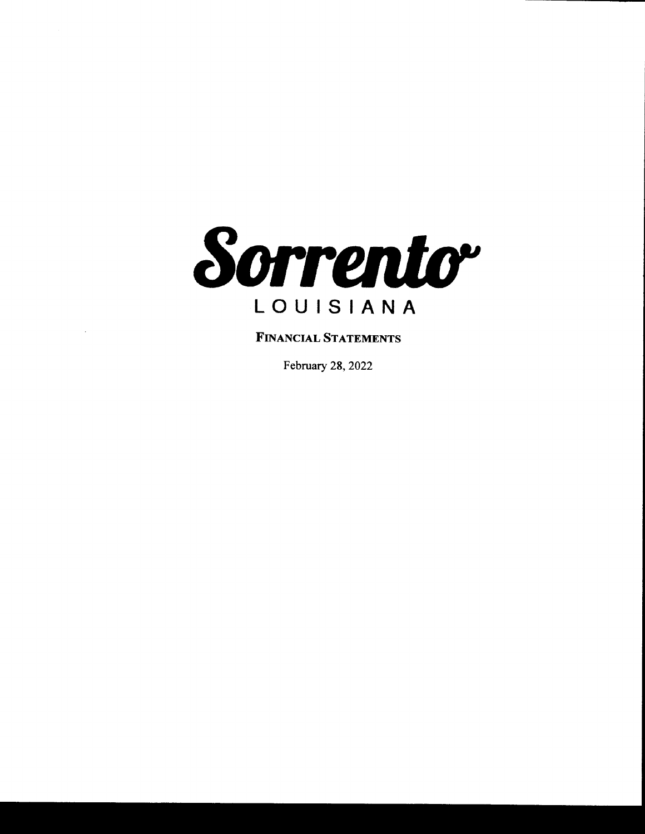

FINANCIAL STATEMENTS

February 28, 2022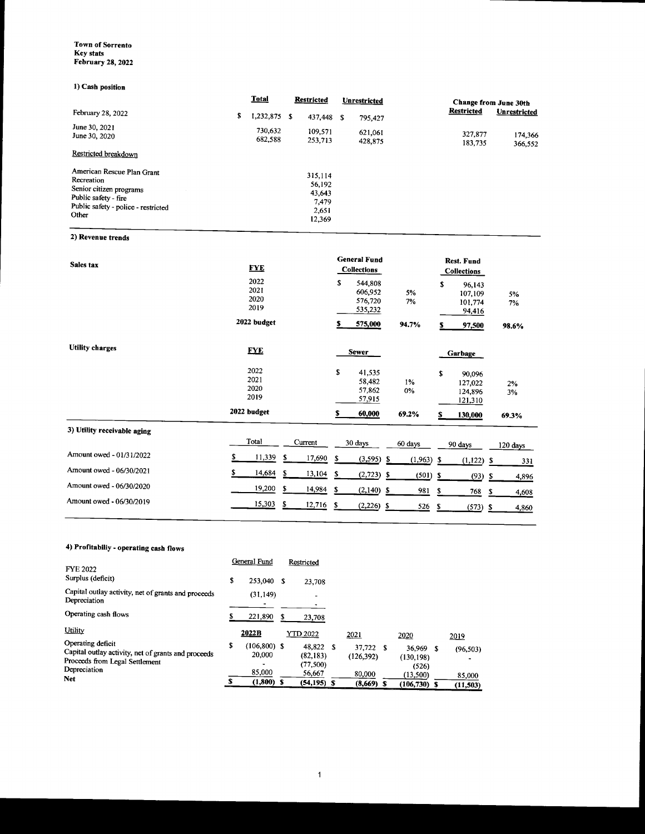#### Town of Sorrento Key stats February 28, 2022

## 1) Cash position

|                                                                                                                                             | <b>Total</b>         | <b>Restricted</b> |                                                         | Unrestricted |                    | <b>Change from June 30th</b> |                     |  |
|---------------------------------------------------------------------------------------------------------------------------------------------|----------------------|-------------------|---------------------------------------------------------|--------------|--------------------|------------------------------|---------------------|--|
| February 28, 2022                                                                                                                           | \$<br>$1,232,875$ \$ |                   | 437,448                                                 | S            | 795,427            | <b>Restricted</b>            | <b>Unrestricted</b> |  |
| June 30, 2021<br>June 30, 2020                                                                                                              | 730,632<br>682.588   |                   | 109,571<br>253,713                                      |              | 621,061<br>428,875 | 327,877<br>183.735           | 174,366<br>366,552  |  |
| Restricted breakdown                                                                                                                        |                      |                   |                                                         |              |                    |                              |                     |  |
| American Rescue Plan Grant<br>Recreation<br>Senior citizen programs<br>Public safety - fire<br>Public safety - police - restricted<br>Other |                      |                   | 315,114<br>56,192<br>43,643<br>7.479<br>2,651<br>12,369 |              |                    |                              |                     |  |

2) Revenue trends

| Sales tax                   | <b>FYE</b>                   |         |        | <b>General Fund</b><br><b>Collections</b> |                                          |    | <b>Rest. Fund</b><br><b>Collections</b> |      |                                         |    |          |
|-----------------------------|------------------------------|---------|--------|-------------------------------------------|------------------------------------------|----|-----------------------------------------|------|-----------------------------------------|----|----------|
|                             | 2022<br>2021<br>2020<br>2019 |         |        | \$                                        | 544,808<br>606,952<br>576,720<br>535,232 |    | 5%<br>7%                                | \$   | 96,143<br>107,109<br>101,774<br>94,416  |    | 5%<br>7% |
|                             | 2022 budget                  |         |        | s                                         | 575,000                                  |    | 94.7%                                   | s    | 97,500                                  |    | 98.6%    |
| <b>Utility charges</b>      | <b>FYE</b>                   |         |        |                                           | <b>Sewer</b>                             |    |                                         |      | Garbage                                 |    |          |
|                             | 2022<br>2021<br>2020<br>2019 |         |        | \$                                        | 41,535<br>58,482<br>57,862<br>57,915     |    | $1\%$<br>0%                             | \$   | 90,096<br>127,022<br>124,896<br>121,310 |    | 2%<br>3% |
|                             | 2022 budget                  |         |        | s                                         | 60,000                                   |    | 69.2%                                   | s    | 130,000                                 |    | 69.3%    |
| 3) Utility receivable aging | Total                        | Current |        |                                           | 30 days                                  |    | 60 days                                 |      | 90 days                                 |    | 120 days |
| Amount owed - 01/31/2022    | \$<br>11,339                 | \$      | 17,690 | S                                         | (3,595)                                  | S. | $(1,963)$ \$                            |      | (1, 122)                                | S  | 331      |
| Amount owed - 06/30/2021    | \$<br>14,684                 | \$      | 13,104 | \$                                        | $(2,723)$ \$                             |    | (501)                                   | - \$ | $(93)$ \$                               |    | 4,896    |
| Amount owed - 06/30/2020    | 19,200                       | \$      | 14,984 | \$                                        | $(2,140)$ \$                             |    | 981                                     | \$   | 768                                     | \$ | 4,608    |
| Amount owed - 06/30/2019    | 15,303                       | \$      | 12,716 | -\$                                       | $(2,226)$ \$                             |    | 526                                     | \$   | (573)                                   | -S | 4,860    |

## 4) Profitabiliy- operating cash flows

|                                                                                                                            | General Fund                   |   | Restricted                         |                         |                                    |                    |
|----------------------------------------------------------------------------------------------------------------------------|--------------------------------|---|------------------------------------|-------------------------|------------------------------------|--------------------|
| <b>FYE 2022</b><br>Surplus (deficit)                                                                                       | \$<br>253,040 \$               |   | 23,708                             |                         |                                    |                    |
| Capital outlay activity, net of grants and proceeds<br>Depreciation                                                        | (31, 149)                      |   | ۰                                  |                         |                                    |                    |
| Operating cash flows                                                                                                       | 221,890                        | S | 23,708                             |                         |                                    |                    |
| Utility                                                                                                                    | 2022B                          |   | <b>YTD 2022</b>                    | 2021                    | 2020                               | 2019               |
| Operating deficit<br>Capital outlay activity, net of grants and proceeds<br>Proceeds from Legal Settlement<br>Depreciation | \$<br>$(106,800)$ \$<br>20,000 |   | 48.822 \$<br>(82, 183)<br>(77,500) | 37,722 \$<br>(126, 392) | $36,969$ \$<br>(130, 198)<br>(526) | (96, 503)          |
| <b>Net</b>                                                                                                                 | 85,000<br>$(1,800)$ \$         |   | 56,667<br>$(54, 195)$ S            | 80,000<br>$(8,669)$ \$  | (13,500)<br>$(106, 730)$ \$        | 85,000<br>(11,503) |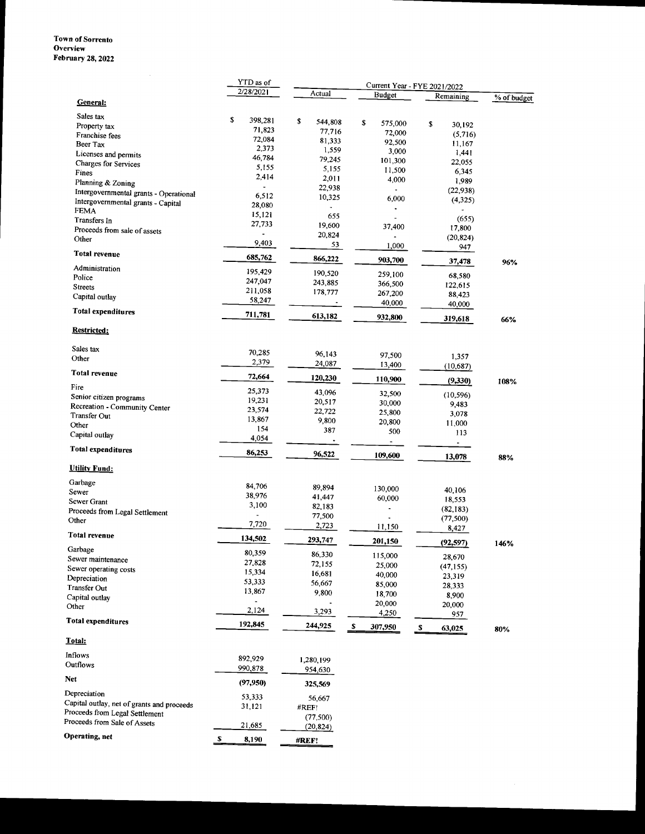### Town of Sorrento **Overview** February 28, 2022

|                                                          | YTD as of<br>2/28/2021 |                  | Current Year - FYE 2021/2022 |                     |             |
|----------------------------------------------------------|------------------------|------------------|------------------------------|---------------------|-------------|
| General:                                                 |                        | Actual           | <b>Budget</b>                | Remaining           | % of budget |
|                                                          |                        |                  |                              |                     |             |
| Sales tax                                                | \$<br>398,281          | \$<br>544,808    | \$<br>575,000                | \$<br>30,192        |             |
| Property tax<br>Franchise fees                           | 71,823                 | 77,716           | 72,000                       | (5,716)             |             |
| Beer Tax                                                 | 72,084                 | 81,333           | 92,500                       | 11,167              |             |
| Licenses and permits                                     | 2,373                  | 1,559            | 3,000                        | 1,441               |             |
| <b>Charges for Services</b>                              | 46,784                 | 79,245           | 101,300                      | 22,055              |             |
| Fines                                                    | 5,155                  | 5,155            | 11,500                       | 6,345               |             |
| Planning & Zoning                                        | 2,414                  | 2,011            | 4,000                        | 1,989               |             |
| Intergovernmental grants - Operational                   | $\centerdot$           | 22,938           | $\overline{a}$               | (22,938)            |             |
| Intergovernmental grants - Capital                       | 6,512<br>28,080        | 10,325           | 6,000                        | (4,325)             |             |
| <b>FEMA</b>                                              | 15,121                 |                  | $\ddot{\phantom{0}}$         |                     |             |
| Transfers In                                             | 27,733                 | 655<br>19,600    | ä,                           | (655)               |             |
| Proceeds from sale of assets                             |                        | 20,824           | 37,400                       | 17,800              |             |
| Other                                                    | 9,403                  | 53               | $\overline{\phantom{a}}$     | (20, 824)           |             |
| <b>Total revenue</b>                                     | 685,762                | 866,222          | 1,000                        | 947                 |             |
| Administration                                           | 195,429                |                  | 903,700                      | 37,478              | 96%         |
| Police                                                   | 247,047                | 190,520          | 259,100                      | 68,580              |             |
| <b>Streets</b>                                           | 211,058                | 243.885          | 366,500                      | 122,615             |             |
| Capital outlay                                           | 58,247                 | 178,777          | 267,200                      | 88,423              |             |
| Total expenditures                                       |                        |                  | 40,000                       | 40,000              |             |
|                                                          | 711,781                | 613,182          | 932,800                      | 319,618             | 66%         |
| <b>Restricted:</b>                                       |                        |                  |                              |                     |             |
| Sales tax                                                | 70,285                 |                  |                              |                     |             |
| Other                                                    | 2,379                  | 96.143           | 97,500                       | 1,357               |             |
| Total revenue                                            |                        | 24,087           | 13,400                       | (10,687)            |             |
| Fire                                                     | 72,664                 | 120,230          | 110,900                      | (9,330)             | 108%        |
|                                                          | 25,373                 | 43,096           | 32,500                       | (10, 596)           |             |
| Senior citizen programs<br>Recreation - Community Center | 19,231                 | 20,517           | 30,000                       | 9,483               |             |
| Transfer Out                                             | 23,574                 | 22,722           | 25,800                       | 3,078               |             |
| Other                                                    | 13,867                 | 9,800            | 20,800                       | 11,000              |             |
| Capital outlay                                           | 154<br>4,054           | 387              | 500                          | 113                 |             |
| <b>Total expenditures</b>                                |                        | $\blacksquare$   | $\blacksquare$               | $\blacksquare$      |             |
|                                                          | 86,253                 | 96,522           | 109,600                      | 13,078              | 88%         |
| <b>Utility Fund:</b>                                     |                        |                  |                              |                     |             |
| Garbage                                                  | 84,706                 | 89,894           | 130,000                      |                     |             |
| Sewer                                                    | 38,976                 | 41,447           | 60,000                       | 40,106              |             |
| Sewer Grant                                              | 3,100                  | 82,183           |                              | 18,553<br>(82, 183) |             |
| Proceeds from Legal Settlement                           | $\ddot{\phantom{a}}$   | 77,500           |                              | (77, 500)           |             |
| Other                                                    | 7,720                  | 2,723            | 11,150                       | 8,427               |             |
| <b>Total revenue</b>                                     | 134,502                | 293,747          | 201,150                      |                     |             |
| Garbage                                                  | 80,359                 |                  |                              | (92, 597)           | 146%        |
| Sewer maintenance                                        | 27,828                 | 86,330           | 115,000                      | 28,670              |             |
| Sewer operating costs                                    | 15,334                 | 72,155           | 25,000                       | (47, 155)           |             |
| Depreciation                                             | 53,333                 | 16,681<br>56,667 | 40,000                       | 23,319              |             |
| Transfer Out                                             | 13,867                 | 9,800            | 85,000                       | 28,333              |             |
| Capital outlay                                           |                        |                  | 18,700                       | 8,900               |             |
| Other                                                    | 2,124                  | 3,293            | 20,000<br>4,250              | 20,000<br>957       |             |
| Total expenditures                                       | 192,845                | 244,925          | \$<br>307,950                | s<br>63,025         | 80%         |
| Total:                                                   |                        |                  |                              |                     |             |
| Inflows                                                  |                        |                  |                              |                     |             |
| Outflows                                                 | 892.929                | 1,280,199        |                              |                     |             |
|                                                          | 990,878                | 954,630          |                              |                     |             |
| Net                                                      | (97, 950)              | 325,569          |                              |                     |             |
| Depreciation                                             | 53,333                 | 56,667           |                              |                     |             |
| Capital outlay, net of grants and proceeds               | 31,121                 | #REF!            |                              |                     |             |
| Proceeds from Legal Settlement                           |                        | (77,500)         |                              |                     |             |
| Proceeds from Sale of Assets                             | 21,685                 | (20, 824)        |                              |                     |             |
| Operating, net                                           | S<br>8,190             | #REF!            |                              |                     |             |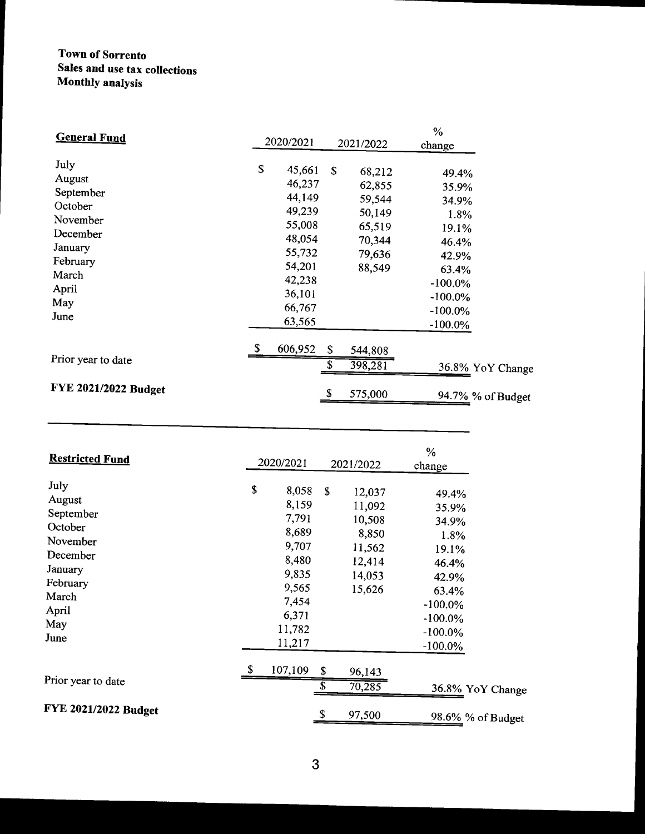# Town of Sorrento Sales and use tax collections Monthly analysis

| <b>General Fund</b>                                                                                                    |                                                                                                                            |                                                                                    | $\%$                                                                                                          |                   |
|------------------------------------------------------------------------------------------------------------------------|----------------------------------------------------------------------------------------------------------------------------|------------------------------------------------------------------------------------|---------------------------------------------------------------------------------------------------------------|-------------------|
|                                                                                                                        | 2020/2021                                                                                                                  | 2021/2022                                                                          | change                                                                                                        |                   |
| July<br>August<br>September<br>October<br>November<br>December<br>January<br>February<br>March<br>April<br>May<br>June | \$<br>45,661<br>46,237<br>44,149<br>49,239<br>55,008<br>48,054<br>55,732<br>54,201<br>42,238<br>36,101<br>66,767<br>63,565 | \$<br>68,212<br>62,855<br>59,544<br>50,149<br>65,519<br>70,344<br>79,636<br>88,549 | 49.4%<br>35.9%<br>34.9%<br>1.8%<br>19.1%<br>46.4%<br>42.9%<br>63.4%<br>$-100.0\%$<br>$-100.0\%$<br>$-100.0\%$ |                   |
| Prior year to date                                                                                                     | \$<br>606,952                                                                                                              | \$<br>544,808<br>398,281                                                           | $-100.0\%$                                                                                                    | 36.8% YoY Change  |
| FYE 2021/2022 Budget                                                                                                   |                                                                                                                            | \$<br>575,000                                                                      |                                                                                                               | 94.7% % of Budget |

| <b>Restricted Fund</b>                                                                                                 | 2020/2021              |                                                                                                       | 2021/2022                                                                   | $\%$<br>change                                                                                                              |
|------------------------------------------------------------------------------------------------------------------------|------------------------|-------------------------------------------------------------------------------------------------------|-----------------------------------------------------------------------------|-----------------------------------------------------------------------------------------------------------------------------|
| July<br>August<br>September<br>October<br>November<br>December<br>January<br>February<br>March<br>April<br>May<br>June | \$<br>11,782<br>11,217 | 8,058<br>$\mathbf S$<br>8,159<br>7,791<br>8,689<br>9,707<br>8,480<br>9,835<br>9,565<br>7,454<br>6,371 | 12,037<br>11,092<br>10,508<br>8,850<br>11,562<br>12,414<br>14,053<br>15,626 | 49.4%<br>35.9%<br>34.9%<br>1.8%<br>19.1%<br>46.4%<br>42.9%<br>63.4%<br>$-100.0\%$<br>$-100.0\%$<br>$-100.0\%$<br>$-100.0\%$ |
| Prior year to date                                                                                                     | \$<br>107,109          | \$<br>\$                                                                                              | 96,143<br>70,285                                                            | 36.8% YoY Change                                                                                                            |
| FYE 2021/2022 Budget                                                                                                   |                        | S                                                                                                     | 97,500                                                                      | 98.6% % of Budget                                                                                                           |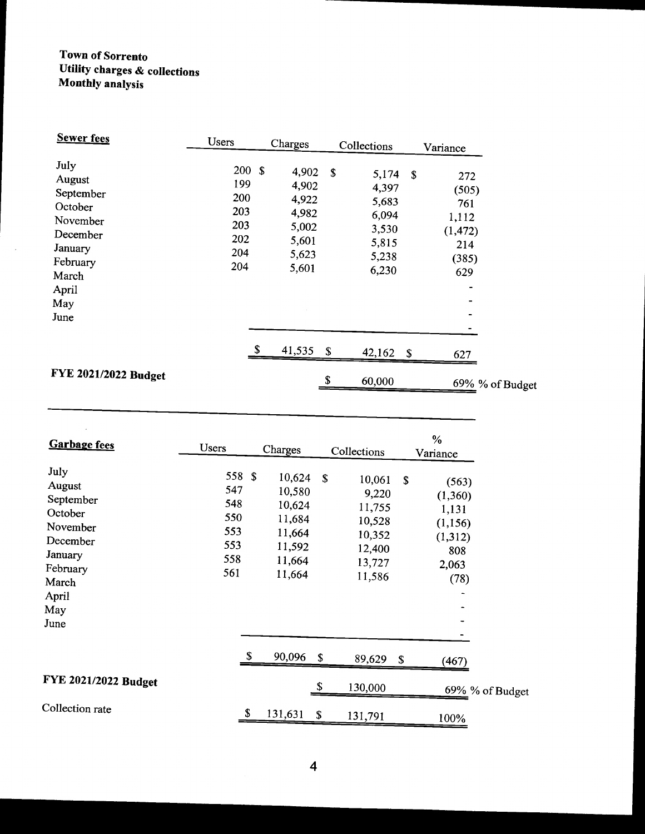# Town of Sorrento Utility charges& collections Monthly analysis

 $\bar{\mathcal{A}}$ 

| <b>Sewer fees</b>                                                                                                      | Users                                                 | Charges                                                              | Collections            |                                                                                       | Variance                                                        |
|------------------------------------------------------------------------------------------------------------------------|-------------------------------------------------------|----------------------------------------------------------------------|------------------------|---------------------------------------------------------------------------------------|-----------------------------------------------------------------|
| July<br>August<br>September<br>October<br>November<br>December<br>January<br>February<br>March<br>April<br>May<br>June | 200S<br>199<br>200<br>203<br>203<br>202<br>204<br>204 | 4,902<br>4,902<br>4,922<br>4,982<br>5,002<br>5,601<br>5,623<br>5,601 | \$                     | 5,174<br><sup>\$</sup><br>4,397<br>5,683<br>6,094<br>3,530<br>5,815<br>5,238<br>6,230 | 272<br>(505)<br>761<br>1,112<br>(1, 472)<br>214<br>(385)<br>629 |
|                                                                                                                        |                                                       | 41,535                                                               | $\mathbf{s}$<br>42,162 | $\sqrt{3}$                                                                            | 627                                                             |
| <b>FYE 2021/2022 Budget</b>                                                                                            |                                                       |                                                                      | \$<br>60,000           |                                                                                       | 69% % of Budget                                                 |

| <b>Garbage fees</b>                                                                                                    | <b>Users</b>                                            | Charges                                                                      |    | Collections                                                                 |             | $\%$<br>Variance                                                          |
|------------------------------------------------------------------------------------------------------------------------|---------------------------------------------------------|------------------------------------------------------------------------------|----|-----------------------------------------------------------------------------|-------------|---------------------------------------------------------------------------|
| July<br>August<br>September<br>October<br>November<br>December<br>January<br>February<br>March<br>April<br>May<br>June | 558 \$<br>547<br>548<br>550<br>553<br>553<br>558<br>561 | 10,624<br>10,580<br>10,624<br>11,684<br>11,664<br>11,592<br>11,664<br>11,664 | S  | 10,061<br>9,220<br>11,755<br>10,528<br>10,352<br>12,400<br>13,727<br>11,586 | $\mathbf S$ | (563)<br>(1,360)<br>1,131<br>(1, 156)<br>(1, 312)<br>808<br>2,063<br>(78) |
|                                                                                                                        |                                                         | \$<br>90,096                                                                 | \$ | 89,629                                                                      | \$          | (467)                                                                     |
| FYE 2021/2022 Budget                                                                                                   |                                                         |                                                                              | \$ | 130,000                                                                     |             | 69% % of Budget                                                           |
| Collection rate                                                                                                        |                                                         | \$<br>131,631                                                                | \$ | 131,791                                                                     |             | 100%                                                                      |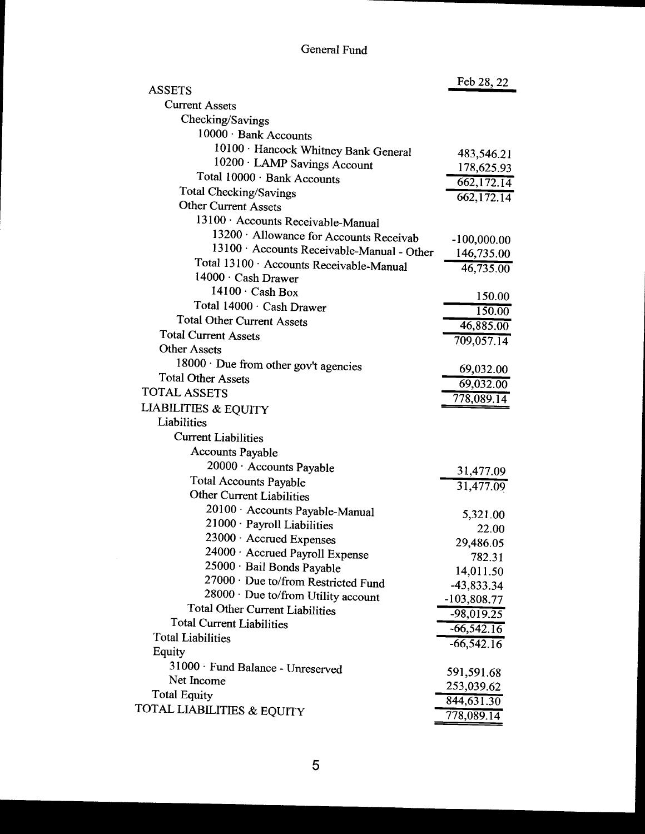# General Fund

| <b>ASSETS</b>                                                                         | Feb 28, 22    |
|---------------------------------------------------------------------------------------|---------------|
| <b>Current Assets</b>                                                                 |               |
| Checking/Savings                                                                      |               |
| 10000 · Bank Accounts                                                                 |               |
|                                                                                       |               |
| 10100 · Hancock Whitney Bank General<br>10200 · LAMP Savings Account                  | 483,546.21    |
| Total 10000 · Bank Accounts                                                           | 178,625.93    |
| <b>Total Checking/Savings</b>                                                         | 662,172.14    |
| <b>Other Current Assets</b>                                                           | 662,172.14    |
| 13100 Accounts Receivable-Manual                                                      |               |
|                                                                                       |               |
| 13200 · Allowance for Accounts Receivab<br>13100 · Accounts Receivable-Manual - Other | $-100,000.00$ |
| Total 13100 · Accounts Receivable-Manual                                              | 146,735.00    |
| $14000 \cdot$ Cash Drawer                                                             | 46,735.00     |
| $14100 \cdot$ Cash Box                                                                |               |
| Total 14000 · Cash Drawer                                                             | 150.00        |
| <b>Total Other Current Assets</b>                                                     | 150.00        |
| <b>Total Current Assets</b>                                                           | 46,885.00     |
| <b>Other Assets</b>                                                                   | 709,057.14    |
|                                                                                       |               |
| 18000 · Due from other gov't agencies<br><b>Total Other Assets</b>                    | 69,032.00     |
| <b>TOTAL ASSETS</b>                                                                   | 69,032.00     |
|                                                                                       | 778,089.14    |
| <b>LIABILITIES &amp; EQUITY</b><br>Liabilities                                        |               |
|                                                                                       |               |
| <b>Current Liabilities</b>                                                            |               |
| <b>Accounts Payable</b>                                                               |               |
| 20000 · Accounts Payable                                                              | 31,477.09     |
| <b>Total Accounts Payable</b>                                                         | 31,477.09     |
| <b>Other Current Liabilities</b>                                                      |               |
| 20100 · Accounts Payable-Manual                                                       | 5,321.00      |
| 21000 · Payroll Liabilities                                                           | 22.00         |
| 23000 · Accrued Expenses                                                              | 29,486.05     |
| 24000 · Accrued Payroll Expense                                                       | 782.31        |
| 25000 · Bail Bonds Payable                                                            | 14,011.50     |
| 27000 · Due to/from Restricted Fund                                                   | $-43,833.34$  |
| 28000 · Due to/from Utility account                                                   | $-103,808.77$ |
| <b>Total Other Current Liabilities</b>                                                | $-98,019.25$  |
| <b>Total Current Liabilities</b>                                                      | $-66,542.16$  |
| <b>Total Liabilities</b>                                                              | $-66,542.16$  |
| Equity                                                                                |               |
| 31000 · Fund Balance - Unreserved                                                     | 591,591.68    |
| Net Income                                                                            | 253,039.62    |
| <b>Total Equity</b>                                                                   | 844,631.30    |
| TOTAL LIABILITIES & EQUITY                                                            | 778,089.14    |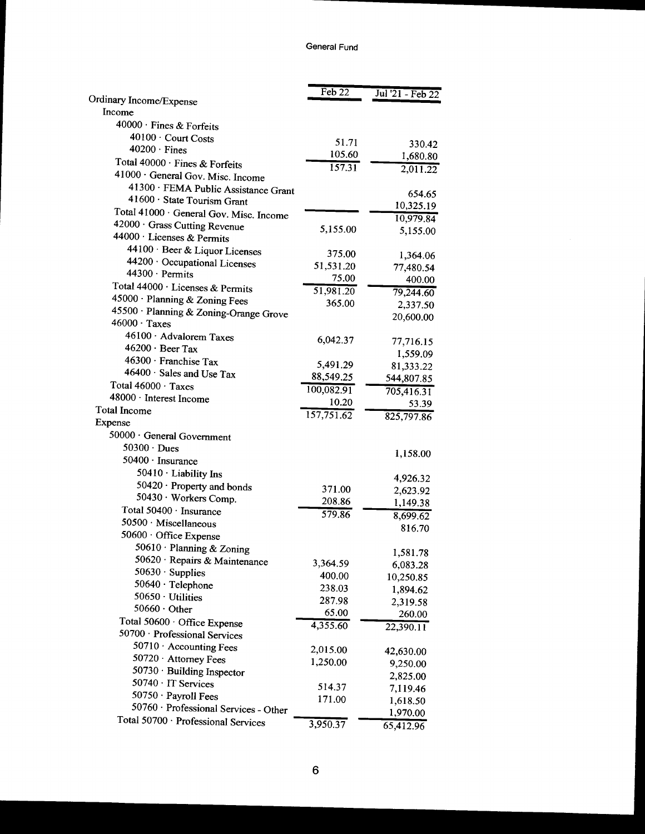|                                                     | Feb $22$   | Jul '21 - Feb $22$ |
|-----------------------------------------------------|------------|--------------------|
| Ordinary Income/Expense                             |            |                    |
| Income                                              |            |                    |
| 40000 · Fines & Forfeits                            |            |                    |
| 40100 · Court Costs                                 | 51.71      | 330.42             |
| $40200 \cdot$ Fines                                 | 105.60     | 1,680.80           |
| Total 40000 · Fines & Forfeits                      | 157.31     | 2,011.22           |
| 41000 · General Gov. Misc. Income                   |            |                    |
| 41300 · FEMA Public Assistance Grant                |            | 654.65             |
| 41600 · State Tourism Grant                         |            | 10,325.19          |
| Total 41000 · General Gov. Misc. Income             |            |                    |
| 42000 · Grass Cutting Revenue                       | 5,155.00   | 10,979.84          |
| 44000 · Licenses & Permits                          |            | 5,155.00           |
| 44100 · Beer & Liquor Licenses                      | 375.00     |                    |
| 44200 · Occupational Licenses                       | 51,531.20  | 1,364.06           |
| 44300 · Permits                                     | 75.00      | 77,480.54          |
| Total 44000 · Licenses & Permits                    | 51,981.20  | 400.00             |
| 45000 · Planning & Zoning Fees                      | 365.00     | 79,244.60          |
| 45500 · Planning & Zoning-Orange Grove              |            | 2,337.50           |
| $46000 \cdot \text{Taxes}$                          |            | 20,600.00          |
| 46100 · Advalorem Taxes                             |            |                    |
| $46200 \cdot$ Beer Tax                              | 6,042.37   | 77,716.15          |
| 46300 · Franchise Tax                               |            | 1,559.09           |
| 46400 · Sales and Use Tax                           | 5,491.29   | 81,333.22          |
| Total 46000 · Taxes                                 | 88,549.25  | 544,807.85         |
| 48000 · Interest Income                             | 100,082.91 | 705,416.31         |
| <b>Total Income</b>                                 | 10.20      | 53.39              |
| Expense                                             | 157,751.62 | 825,797.86         |
| 50000 · General Government                          |            |                    |
| $50300 \cdot Dues$                                  |            |                    |
| 50400 · Insurance                                   |            | 1,158.00           |
| 50410 · Liability Ins                               |            |                    |
|                                                     |            | 4,926.32           |
| 50420 · Property and bonds<br>50430 · Workers Comp. | 371.00     | 2,623.92           |
| Total 50400 · Insurance                             | 208.86     | 1,149.38           |
|                                                     | 579.86     | 8,699.62           |
| 50500 · Miscellaneous                               |            | 816.70             |
| 50600 · Office Expense                              |            |                    |
| 50610 · Planning & Zoning                           |            | 1,581.78           |
| 50620 · Repairs & Maintenance                       | 3,364.59   | 6,083.28           |
| 50630 · Supplies                                    | 400.00     | 10,250.85          |
| 50640 · Telephone                                   | 238.03     | 1,894.62           |
| $50650 \cdot$ Utilities                             | 287.98     | 2,319.58           |
| $50660 \cdot$ Other                                 | 65.00      | 260.00             |
| Total 50600 · Office Expense                        | 4,355.60   | 22,390.11          |
| 50700 · Professional Services                       |            |                    |
| 50710 · Accounting Fees                             | 2,015.00   | 42,630.00          |
| 50720 · Attorney Fees                               | 1,250.00   | 9,250.00           |
| 50730 · Building Inspector                          |            | 2,825.00           |
| 50740 · IT Services                                 | 514.37     | 7,119.46           |
| 50750 · Payroll Fees                                | 171.00     | 1,618.50           |
| 50760 · Professional Services - Other               |            | 1,970.00           |
| Total 50700 · Professional Services                 | 3,950.37   | 65,412.96          |
|                                                     |            |                    |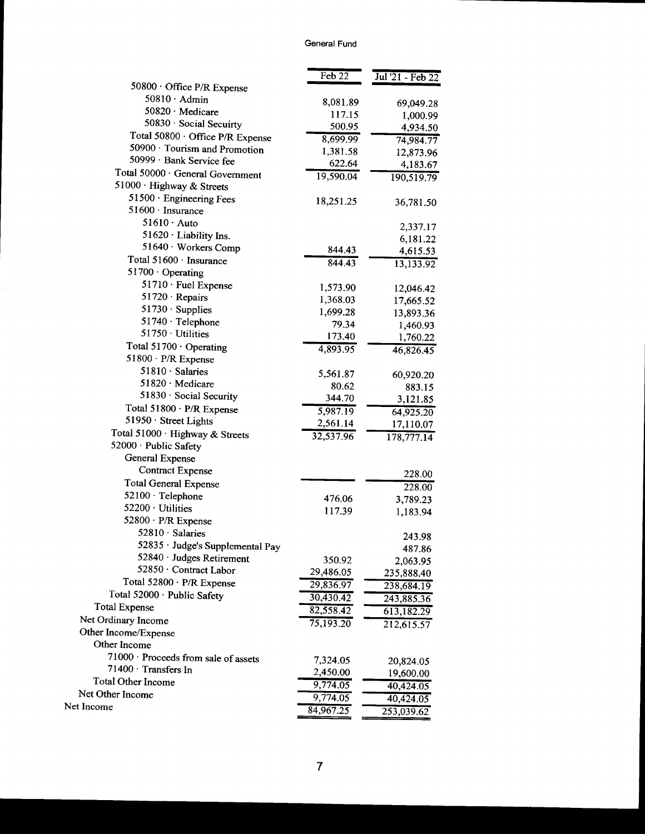|                                                                   | Feb22     | Jul '21 - Feb 22 |
|-------------------------------------------------------------------|-----------|------------------|
| 50800 · Office P/R Expense<br>$50810 \cdot$ Admin                 |           |                  |
|                                                                   | 8,081.89  | 69,049.28        |
| $50820 \cdot$ Medicare<br>50830 · Social Secuirty                 | 117.15    | 1,000.99         |
|                                                                   | 500.95    | 4,934.50         |
| Total 50800 · Office P/R Expense<br>50900 · Tourism and Promotion | 8,699.99  | 74,984.77        |
| 50999 · Bank Service fee                                          | 1,381.58  | 12,873.96        |
|                                                                   | 622.64    | 4,183.67         |
| Total 50000 · General Government                                  | 19,590.04 | 190, 519.79      |
| 51000 · Highway & Streets                                         |           |                  |
| 51500 · Engineering Fees<br>51600 · Insurance                     | 18,251.25 | 36,781.50        |
| $51610 \cdot \text{Auto}$                                         |           |                  |
| 51620 · Liability Ins.                                            |           | 2,337.17         |
| 51640 · Workers Comp                                              |           | 6,181.22         |
| Total 51600 · Insurance                                           | 844.43    | 4,615.53         |
|                                                                   | 844.43    | 13,133.92        |
| $51700 \cdot$ Operating                                           |           |                  |
| 51710 · Fuel Expense                                              | 1,573.90  | 12,046.42        |
| $51720 \cdot Repairs$                                             | 1,368.03  | 17,665.52        |
| $51730 \cdot$ Supplies                                            | 1,699.28  | 13,893.36        |
| $51740 \cdot$ Telephone<br>$51750 \cdot$ Utilities                | 79.34     | 1,460.93         |
|                                                                   | 173.40    | 1,760.22         |
| Total 51700 · Operating                                           | 4,893.95  | 46,826.45        |
| 51800 · P/R Expense                                               |           |                  |
| $51810 \cdot$ Salaries                                            | 5,561.87  | 60,920.20        |
| 51820 Medicare                                                    | 80.62     | 883.15           |
| 51830 · Social Security                                           | 344.70    | 3,121.85         |
| Total 51800 · P/R Expense                                         | 5,987.19  | 64,925.20        |
| 51950 · Street Lights                                             | 2,561.14  | 17,110.07        |
| Total 51000 · Highway & Streets                                   | 32,537.96 | 178,777.14       |
| 52000 · Public Safety                                             |           |                  |
| General Expense                                                   |           |                  |
| <b>Contract Expense</b>                                           |           | 228.00           |
| <b>Total General Expense</b>                                      |           | 228.00           |
| 52100 · Telephone                                                 | 476.06    | 3,789.23         |
| 52200 · Utilities                                                 | 117.39    | 1,183.94         |
| 52800 · P/R Expense                                               |           |                  |
| 52810 · Salaries                                                  |           | 243.98           |
| 52835 · Judge's Supplemental Pay                                  |           | 487.86           |
| 52840 · Judges Retirement                                         | 350.92    | 2,063.95         |
| 52850 · Contract Labor                                            | 29,486.05 | 235,888.40       |
| Total 52800 · P/R Expense                                         | 29,836.97 | 238,684.19       |
| Total 52000 · Public Safety                                       | 30,430.42 | 243,885.36       |
| <b>Total Expense</b>                                              | 82,558.42 | 613,182.29       |
| Net Ordinary Income                                               | 75,193.20 | 212,615.57       |
| Other Income/Expense                                              |           |                  |
| Other Income                                                      |           |                  |
| 71000 · Proceeds from sale of assets                              | 7,324.05  | 20,824.05        |
| 71400 · Transfers In                                              | 2,450.00  | 19,600.00        |
| <b>Total Other Income</b>                                         | 9,774.05  | 40,424.05        |
| Net Other Income                                                  | 9,774.05  | 40,424.05        |
| Net Income                                                        | 84,967.25 | 253,039.62       |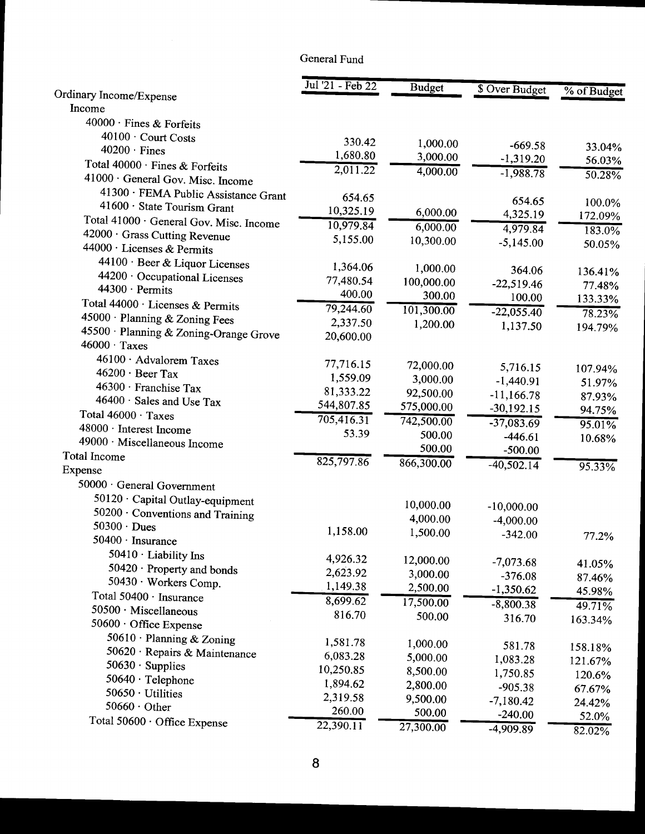## General Fund

|                                                        | Jul '21 - Feb 22 | <b>Budget</b> | \$ Over Budget | % of Budget |
|--------------------------------------------------------|------------------|---------------|----------------|-------------|
| Ordinary Income/Expense                                |                  |               |                |             |
| Income                                                 |                  |               |                |             |
| 40000 · Fines & Forfeits                               |                  |               |                |             |
| 40100 · Court Costs                                    | 330.42           | 1,000.00      | $-669.58$      | 33.04%      |
| $40200 \cdot$ Fines                                    | 1,680.80         | 3,000.00      | $-1,319.20$    | 56.03%      |
| Total 40000 · Fines & Forfeits                         | 2,011.22         | 4,000.00      | $-1,988.78$    |             |
| 41000 · General Gov. Misc. Income                      |                  |               |                | 50.28%      |
| 41300 · FEMA Public Assistance Grant                   | 654.65           |               | 654.65         |             |
| 41600 · State Tourism Grant                            | 10,325.19        | 6,000.00      | 4,325.19       | 100.0%      |
| Total 41000 · General Gov. Misc. Income                | 10,979.84        | 6,000.00      | 4,979.84       | 172.09%     |
| 42000 · Grass Cutting Revenue                          | 5,155.00         | 10,300.00     |                | 183.0%      |
| 44000 · Licenses & Permits                             |                  |               | $-5,145.00$    | 50.05%      |
| 44100 · Beer & Liquor Licenses                         | 1,364.06         | 1,000.00      |                |             |
| 44200 · Occupational Licenses                          | 77,480.54        | 100,000.00    | 364.06         | 136.41%     |
| 44300 · Permits                                        | 400.00           | 300.00        | $-22,519.46$   | 77.48%      |
| Total 44000 · Licenses & Permits                       | 79,244.60        | 101,300.00    | 100.00         | 133.33%     |
| 45000 · Planning & Zoning Fees                         | 2,337.50         |               | $-22,055.40$   | 78.23%      |
| 45500 · Planning & Zoning-Orange Grove                 | 20,600.00        | 1,200.00      | 1,137.50       | 194.79%     |
| $46000 \cdot \text{Taxes}$                             |                  |               |                |             |
| 46100 · Advalorem Taxes                                | 77,716.15        |               |                |             |
| $46200 \cdot$ Beer Tax                                 | 1,559.09         | 72,000.00     | 5,716.15       | 107.94%     |
| $46300 \cdot$ Franchise Tax                            | 81,333.22        | 3,000.00      | $-1,440.91$    | 51.97%      |
| 46400 · Sales and Use Tax                              |                  | 92,500.00     | $-11,166.78$   | 87.93%      |
| Total 46000 · Taxes                                    | 544,807.85       | 575,000.00    | $-30,192.15$   | 94.75%      |
| 48000 · Interest Income                                | 705, 416.31      | 742,500.00    | $-37,083.69$   | 95.01%      |
| 49000 · Miscellaneous Income                           | 53.39            | 500.00        | $-446.61$      | 10.68%      |
| Total Income                                           |                  | 500.00        | $-500.00$      |             |
| Expense                                                | 825,797.86       | 866,300.00    | $-40,502.14$   | $95.33\%$   |
| 50000 · General Government                             |                  |               |                |             |
|                                                        |                  |               |                |             |
| 50120 · Capital Outlay-equipment                       |                  | 10,000.00     | $-10,000.00$   |             |
| 50200 · Conventions and Training<br>$50300 \cdot Dues$ |                  | 4,000.00      | $-4,000.00$    |             |
| 50400 · Insurance                                      | 1,158.00         | 1,500.00      | $-342.00$      | 77.2%       |
|                                                        |                  |               |                |             |
| $50410 \cdot$ Liability Ins                            | 4,926.32         | 12,000.00     | $-7,073.68$    | 41.05%      |
| 50420 · Property and bonds                             | 2,623.92         | 3,000.00      | $-376.08$      | 87.46%      |
| 50430 · Workers Comp.                                  | 1,149.38         | 2,500.00      | $-1,350.62$    | 45.98%      |
| Total 50400 · Insurance                                | 8,699.62         | 17,500.00     | $-8,800.38$    | $49.71\%$   |
| 50500 · Miscellaneous                                  | 816.70           | 500.00        | 316.70         | 163.34%     |
| 50600 · Office Expense                                 |                  |               |                |             |
| 50610 · Planning & Zoning                              | 1,581.78         | 1,000.00      | 581.78         | 158.18%     |
| 50620 · Repairs & Maintenance                          | 6,083.28         | 5,000.00      | 1,083.28       | 121.67%     |
| $50630 \cdot$ Supplies                                 | 10,250.85        | 8,500.00      | 1,750.85       | 120.6%      |
| 50640 $\cdot$ Telephone                                | 1,894.62         | 2,800.00      | $-905.38$      | 67.67%      |
| 50650 · Utilities                                      | 2,319.58         | 9,500.00      | $-7,180.42$    | 24.42%      |
| $50660 \cdot$ Other                                    | 260.00           | 500.00        | $-240.00$      | 52.0%       |
| Total 50600 · Office Expense                           | 22,390.11        | 27,300.00     | $-4,909.89$    | 82.02%      |
|                                                        |                  |               |                |             |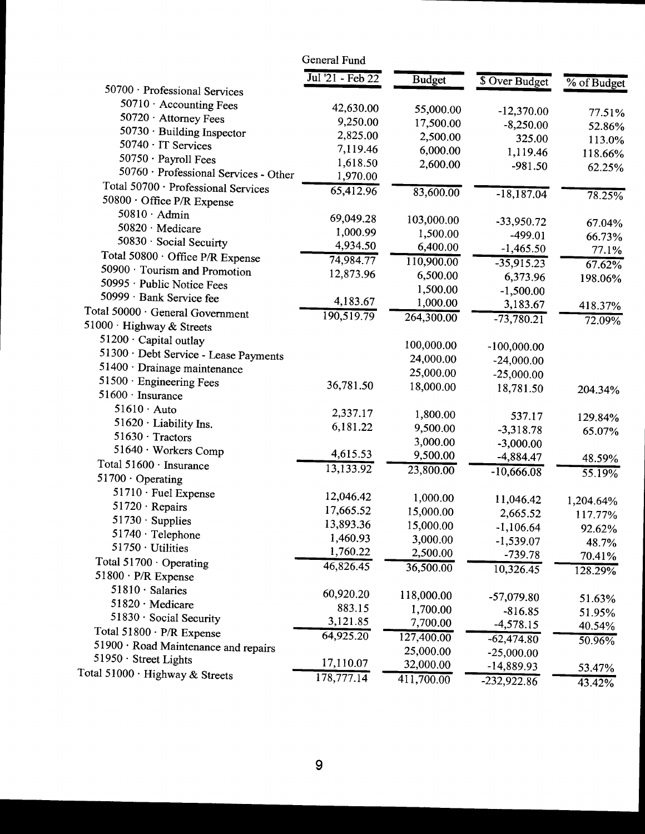|                                                               | General Fund     |               |                        |             |
|---------------------------------------------------------------|------------------|---------------|------------------------|-------------|
|                                                               | Jul '21 - Feb 22 | <b>Budget</b> | \$ Over Budget         | % of Budget |
| 50700 · Professional Services                                 |                  |               |                        |             |
| $50710 \cdot$ Accounting Fees                                 | 42,630.00        | 55,000.00     | $-12,370.00$           | 77.51%      |
| 50720 · Attorney Fees                                         | 9,250.00         | 17,500.00     | $-8,250.00$            | 52.86%      |
| 50730 · Building Inspector                                    | 2,825.00         | 2,500.00      | 325.00                 | 113.0%      |
| 50740 · IT Services                                           | 7,119.46         | 6,000.00      | 1,119.46               | 118.66%     |
| 50750 · Payroll Fees                                          | 1,618.50         | 2,600.00      | $-981.50$              |             |
| 50760 · Professional Services - Other                         | 1,970.00         |               |                        | 62.25%      |
| Total 50700 · Professional Services                           | 65,412.96        | 83,600.00     | $-18,187.04$           |             |
| 50800 · Office P/R Expense                                    |                  |               |                        | 78.25%      |
| $50810 \cdot$ Admin                                           | 69,049.28        | 103,000.00    | $-33,950.72$           |             |
| 50820 · Medicare                                              | 1,000.99         | 1,500.00      | $-499.01$              | 67.04%      |
| 50830 · Social Secuirty                                       | 4,934.50         | 6,400.00      | $-1,465.50$            | 66.73%      |
| Total 50800 · Office P/R Expense                              | 74,984.77        | 110,900.00    | $-35,915.23$           | 77.1%       |
| 50900 · Tourism and Promotion                                 | 12,873.96        | 6,500.00      |                        | 67.62%      |
| 50995 · Public Notice Fees                                    |                  | 1,500.00      | 6,373.96               | 198.06%     |
| 50999 · Bank Service fee                                      | 4,183.67         | 1,000.00      | $-1,500.00$            |             |
| Total 50000 · General Government                              | 190,519.79       | 264,300.00    | 3,183.67               | 418.37%     |
| 51000 · Highway & Streets                                     |                  |               | $-73,780.21$           | 72.09%      |
| 51200 · Capital outlay                                        |                  |               |                        |             |
| 51300 · Debt Service - Lease Payments                         |                  | 100,000.00    | $-100,000.00$          |             |
| 51400 · Drainage maintenance                                  |                  | 24,000.00     | $-24,000.00$           |             |
| 51500 · Engineering Fees                                      | 36,781.50        | 25,000.00     | $-25,000.00$           |             |
| $51600 \cdot \text{ Insurance}$                               |                  | 18,000.00     | 18,781.50              | 204.34%     |
| $51610 \cdot \text{Auto}$                                     | 2,337.17         |               |                        |             |
| 51620 · Liability Ins.                                        | 6,181.22         | 1,800.00      | 537.17                 | 129.84%     |
| $51630 \cdot Tractors$                                        |                  | 9,500.00      | $-3,318.78$            | 65.07%      |
| 51640 · Workers Comp                                          | 4,615.53         | 3,000.00      | $-3,000.00$            |             |
| Total 51600 · Insurance                                       | 13,133.92        | 9,500.00      | $-4,884.47$            | 48.59%      |
| $51700 \cdot$ Operating                                       |                  | 23,800.00     | $-10,666.08$           | $55.19\%$   |
| 51710 · Fuel Expense                                          |                  |               |                        |             |
| $51720 \cdot$ Repairs                                         | 12,046.42        | 1,000.00      | 11,046.42              | 1,204.64%   |
| $51730 \cdot$ Supplies                                        | 17,665.52        | 15,000.00     | 2,665.52               | 117.77%     |
| 51740 · Telephone                                             | 13,893.36        | 15,000.00     | $-1,106.64$            | 92.62%      |
| 51750 · Utilities                                             | 1,460.93         | 3,000.00      | $-1,539.07$            | 48.7%       |
| Total $51700 \cdot$ Operating                                 | 1,760.22         | 2,500.00      | $-739.78$              | 70.41%      |
| 51800 · P/R Expense                                           | 46,826.45        | 36,500.00     | $10,326.\overline{45}$ | 128.29%     |
| $51810 \cdot$ Salaries                                        |                  |               |                        |             |
| 51820 · Medicare                                              | 60,920.20        | 118,000.00    | $-57,079.80$           | 51.63%      |
| 51830 · Social Security                                       | 883.15           | 1,700.00      | $-816.85$              | 51.95%      |
|                                                               | 3,121.85         | 7,700.00      | $-4,578.15$            | 40.54%      |
| Total 51800 · P/R Expense                                     | 64,925.20        | 127,400.00    | $-62,474.80$           | $50.96\%$   |
| 51900 · Road Maintenance and repairs<br>51950 · Street Lights |                  | 25,000.00     | $-25,000.00$           |             |
|                                                               | 17,110.07        | 32,000.00     | $-14,889.93$           | 53.47%      |
| Total $51000 \cdot$ Highway & Streets                         | 178,777.14       | 411,700.00    | $-232,922.86$          | 43.42%      |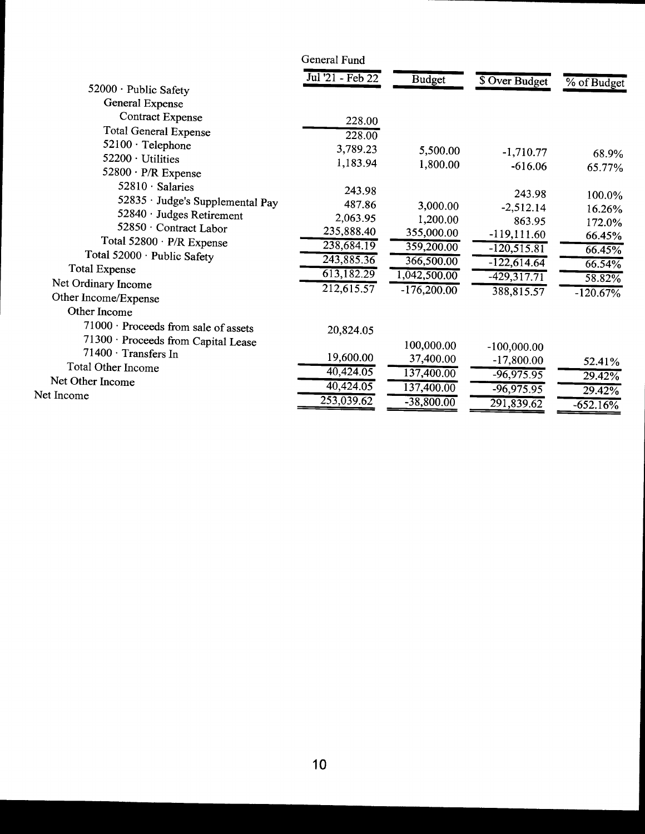|                                             | General Fund     |               |                |             |
|---------------------------------------------|------------------|---------------|----------------|-------------|
| 52000 · Public Safety                       | Jul '21 - Feb 22 | <b>Budget</b> | \$ Over Budget | % of Budget |
| General Expense                             |                  |               |                |             |
| <b>Contract Expense</b>                     | 228.00           |               |                |             |
| <b>Total General Expense</b>                | 228.00           |               |                |             |
| 52100 · Telephone                           | 3,789.23         | 5,500.00      | $-1,710.77$    |             |
| 52200 · Utilities                           | 1,183.94         | 1,800.00      | $-616.06$      | 68.9%       |
| $52800 \cdot P/R$ Expense                   |                  |               |                | 65.77%      |
| 52810 · Salaries                            | 243.98           |               | 243.98         | 100.0%      |
| 52835 · Judge's Supplemental Pay            | 487.86           | 3,000.00      | $-2,512.14$    | 16.26%      |
| 52840 · Judges Retirement                   | 2,063.95         | 1,200.00      | 863.95         | 172.0%      |
| 52850 · Contract Labor                      | 235,888.40       | 355,000.00    | $-119,111.60$  | 66.45%      |
| Total 52800 · P/R Expense                   | 238,684.19       | 359,200.00    | $-120,515.81$  | 66.45%      |
| Total 52000 · Public Safety                 | 243,885.36       | 366,500.00    | $-122,614.64$  | 66.54%      |
| <b>Total Expense</b>                        | 613, 182.29      | 1,042,500.00  | $-429,317.71$  | 58.82%      |
| Net Ordinary Income<br>Other Income/Expense | 212,615.57       | $-176,200.00$ | 388,815.57     | $-120.67%$  |
| Other Income                                |                  |               |                |             |
| 71000 · Proceeds from sale of assets        | 20,824.05        |               |                |             |
| 71300 · Proceeds from Capital Lease         |                  | 100,000.00    | $-100,000.00$  |             |
| 71400 · Transfers In                        | 19,600.00        | 37,400.00     | $-17,800.00$   | 52.41%      |
| Total Other Income                          | 40,424.05        | 137,400.00    | $-96,975.95$   | 29.42%      |
| Net Other Income                            | 40,424.05        | 137,400.00    | $-96,975.95$   | 29.42%      |
| Net Income                                  | 253,039.62       | $-38,800.00$  | 291,839.62     | $-652.16\%$ |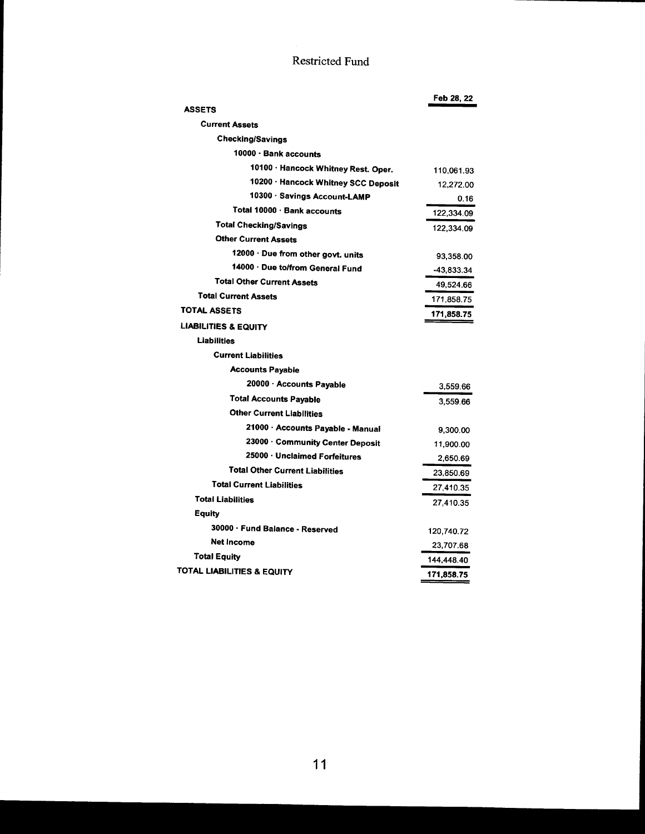# Restricted Fund

|                                        | Feb 28, 22 |
|----------------------------------------|------------|
| <b>ASSETS</b>                          |            |
| <b>Current Assets</b>                  |            |
| <b>Checking/Savings</b>                |            |
| 10000 · Bank accounts                  |            |
| 10100 · Hancock Whitney Rest. Oper.    | 110,061.93 |
| 10200 · Hancock Whitney SCC Deposit    | 12,272.00  |
| 10300 · Savings Account-LAMP           | 0.16       |
| Total 10000 · Bank accounts            | 122,334.09 |
| <b>Total Checking/Savings</b>          | 122,334.09 |
| <b>Other Current Assets</b>            |            |
| 12000 · Due from other govt. units     | 93,358.00  |
| 14000 · Due to/from General Fund       | -43,833.34 |
| <b>Total Other Current Assets</b>      | 49,524.66  |
| <b>Total Current Assets</b>            | 171.858.75 |
| <b>TOTAL ASSETS</b>                    | 171,858.75 |
| <b>LIABILITIES &amp; EQUITY</b>        |            |
| <b>Liabilities</b>                     |            |
| <b>Current Liabilities</b>             |            |
| <b>Accounts Payable</b>                |            |
| 20000 · Accounts Payable               | 3.559.66   |
| <b>Total Accounts Payable</b>          | 3.559.66   |
| <b>Other Current Liabilities</b>       |            |
| 21000 · Accounts Payable - Manual      | 9,300.00   |
| 23000 · Community Center Deposit       | 11,900.00  |
| 25000 · Unclaimed Forfeitures          | 2,650.69   |
| <b>Total Other Current Liabilities</b> | 23,850.69  |
| <b>Total Current Liabilities</b>       | 27,410.35  |
| <b>Total Liabilities</b>               | 27,410.35  |
| Equity                                 |            |
| 30000 · Fund Balance - Reserved        | 120,740.72 |
| <b>Net Income</b>                      | 23,707.68  |
| <b>Total Equity</b>                    | 144,448.40 |
| TOTAL LIABILITIES & EQUITY             | 171,858.75 |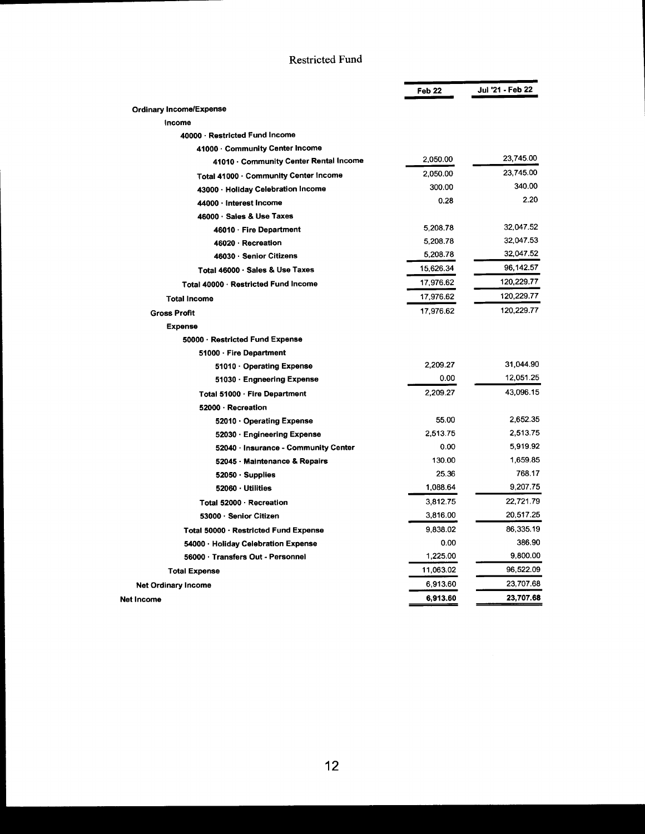## Restricted Fund

|                                       | Feb <sub>22</sub> | Jul '21 - Feb 22 |
|---------------------------------------|-------------------|------------------|
| <b>Ordinary Income/Expense</b>        |                   |                  |
| Income                                |                   |                  |
| 40000 · Restricted Fund Income        |                   |                  |
| 41000 Community Center Income         |                   |                  |
| 41010 Community Center Rental Income  | 2,050.00          | 23,745.00        |
| Total 41000 · Community Center Income | 2,050.00          | 23,745.00        |
| 43000 · Holiday Celebration Income    | 300.00            | 340.00           |
| 44000 Interest Income                 | 0.28              | 2.20             |
| 46000 · Sales & Use Taxes             |                   |                  |
| 46010 · Fire Department               | 5,208.78          | 32,047.52        |
| 46020 · Recreation                    | 5,208.78          | 32,047.53        |
| 46030 · Senior Citizens               | 5,208.78          | 32,047.52        |
| Total 46000 · Sales & Use Taxes       | 15,626.34         | 96,142.57        |
| Total 40000 Restricted Fund Income    | 17,976.62         | 120,229.77       |
| <b>Total Income</b>                   | 17,976.62         | 120,229.77       |
| <b>Gross Profit</b>                   | 17,976.62         | 120,229.77       |
| <b>Expense</b>                        |                   |                  |
| 50000 · Restricted Fund Expense       |                   |                  |
| 51000 · Fire Department               |                   |                  |
| 51010 Operating Expense               | 2.209.27          | 31,044.90        |
| 51030 Engneering Expense              | 0.00              | 12,051.25        |
| Total 51000 · Fire Department         | 2.209.27          | 43,096.15        |
| 52000 · Recreation                    |                   |                  |
| 52010 Operating Expense               | 55.00             | 2,652.35         |
| 52030 · Engineering Expense           | 2.513.75          | 2,513.75         |
| 52040 · Insurance - Community Center  | 0.00              | 5,919.92         |
| 52045 - Maintenance & Repairs         | 130.00            | 1,659.85         |
| $52050 \cdot$ Supplies                | 25.36             | 768.17           |
| 52060 Utilities                       | 1,088.64          | 9.207.75         |
| Total 52000 · Recreation              | 3,812.75          | 22,721.79        |
| 53000 · Senior Citizen                | 3,816.00          | 20,517.25        |
| Total 50000 · Restricted Fund Expense | 9.838.02          | 86,335.19        |
| 54000 · Holiday Celebration Expense   | 0.00              | 386.90           |
| 56000 · Transfers Out - Personnel     | 1,225.00          | 9.800.00         |
| <b>Total Expense</b>                  | 11,063.02         | 96,522.09        |
| <b>Net Ordinary Income</b>            | 6,913.60          | 23.707.68        |
| Net Income                            | 6,913.60          | 23,707.68        |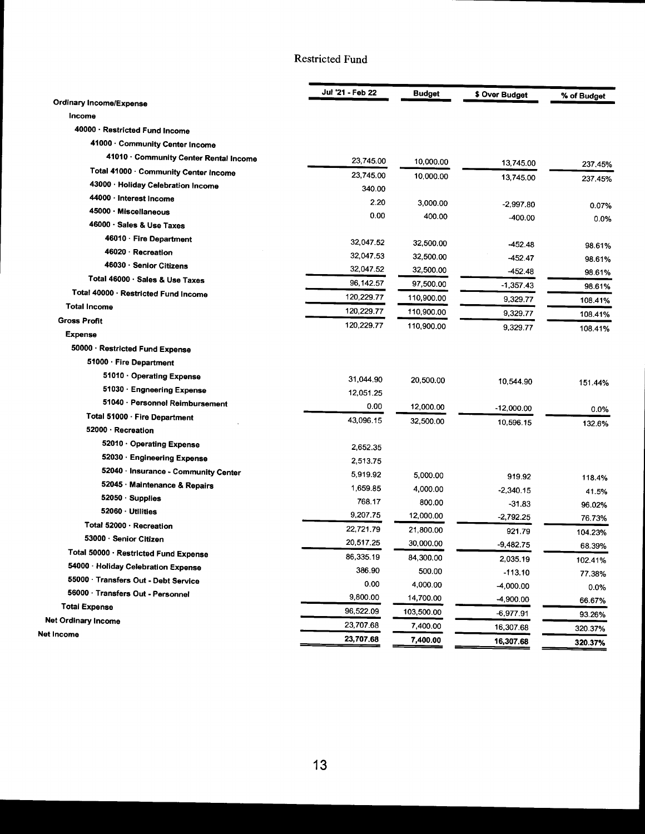## Restricted Fund

|                                        | Jul '21 - Feb 22 | <b>Budget</b>      | \$ Over Budget | % of Budget |
|----------------------------------------|------------------|--------------------|----------------|-------------|
| <b>Ordinary Income/Expense</b>         |                  |                    |                |             |
| Income                                 |                  |                    |                |             |
| 40000 · Restricted Fund Income         |                  |                    |                |             |
| 41000 · Community Center Income        |                  |                    |                |             |
| 41010 · Community Center Rental Income | 23,745.00        | 10,000.00          | 13,745.00      | 237.45%     |
| Total 41000 · Community Center Income  | 23,745.00        | 10,000.00          | 13,745.00      | 237.45%     |
| 43000 · Holiday Celebration Income     | 340.00           |                    |                |             |
| 44000 · Interest Income                | 2.20             | 3,000.00           | $-2,997.80$    | 0.07%       |
| 45000 · Miscellaneous                  | 0.00             | 400.00             | $-400.00$      | 0.0%        |
| 46000 · Sales & Use Taxes              |                  |                    |                |             |
| 46010 · Fire Department                | 32,047.52        | 32,500.00          | -452.48        | 98.61%      |
| 46020 · Recreation                     | 32,047.53        | 32,500.00          | -452.47        | 98.61%      |
| 46030 · Senior Citizens                | 32,047.52        | 32,500.00          | -452.48        | 98.61%      |
| Total 46000 · Sales & Use Taxes        | 96,142.57        | 97,500.00          | -1,357.43      | 98.61%      |
| Total 40000 · Restricted Fund Income   | 120,229.77       | 110,900.00         | 9,329.77       | 108.41%     |
| <b>Total Income</b>                    | 120,229.77       | 110,900.00         | 9,329.77       | 108.41%     |
| <b>Gross Profit</b>                    | 120,229.77       | 110,900.00         | 9,329.77       | 108.41%     |
| <b>Expense</b>                         |                  |                    |                |             |
| 50000 · Restricted Fund Expense        |                  |                    |                |             |
| 51000 · Fire Department                |                  |                    |                |             |
| 51010 · Operating Expense              | 31,044.90        | 20,500.00          | 10,544.90      | 151.44%     |
| 51030 · Engneering Expense             | 12,051.25        |                    |                |             |
| 51040 · Personnel Reimbursement        | 0.00             | 12,000.00          | -12,000.00     | 0.0%        |
| Total 51000 · Fire Department          | 43,096.15        | 32,500.00          | 10,596.15      | 132.6%      |
| 52000 · Recreation                     |                  |                    |                |             |
| 52010 · Operating Expense              | 2,652.35         |                    |                |             |
| 52030 · Engineering Expense            | 2,513.75         |                    |                |             |
| 52040 · Insurance - Community Center   | 5,919.92         | 5.000.00           | 919.92         |             |
| 52045 · Maintenance & Repairs          | 1,659.85         | 4,000.00           | $-2,340.15$    | 118.4%      |
| 52050 · Supplies                       | 768.17           | 800.00             | $-31.83$       | 41.5%       |
| 52060 · Utilities                      | 9,207.75         | 12,000.00          | $-2,792.25$    | 96.02%      |
| Total 52000 · Recreation               | 22,721.79        | 21,800.00          |                | 76.73%      |
| 53000 · Senior Citizen                 | 20,517.25        | 30,000.00          | 921.79         | 104.23%     |
| Total 50000 · Restricted Fund Expense  | 86,335.19        | 84,300.00          | $-9,482.75$    | 68.39%      |
| 54000 · Holiday Celebration Expense    | 386.90           |                    | 2,035.19       | 102.41%     |
| 55000 · Transfers Out - Debt Service   | 0.00             | 500.00<br>4,000.00 | $-113.10$      | 77.38%      |
| 56000 · Transfers Out - Personnel      | 9,800.00         |                    | $-4,000.00$    | 0.0%        |
| <b>Total Expense</b>                   | 96,522.09        | 14,700.00          | -4,900.00      | 66.67%      |
| <b>Net Ordinary Income</b>             | 23,707.68        | 103,500.00         | -6,977.91      | 93.26%      |
| Net Income                             |                  | 7,400.00           | 16,307.68      | 320.37%     |
|                                        | 23,707.68        | 7,400.00           | 16,307.68      | 320.37%     |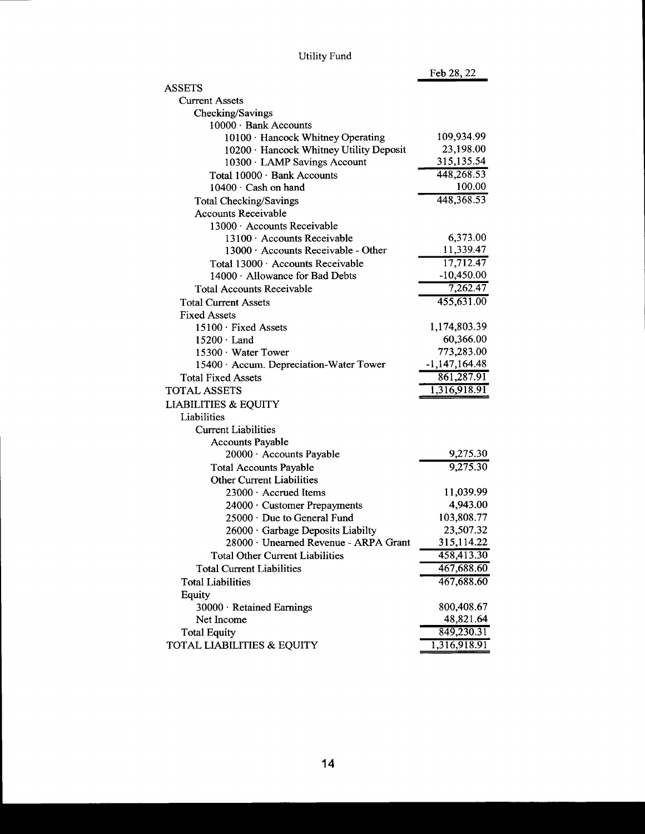| <b>Utility Fund</b> |  |
|---------------------|--|
|                     |  |

Feb 28, 22

| <b>ASSETS</b>                           |                 |
|-----------------------------------------|-----------------|
| <b>Current Assets</b>                   |                 |
| Checking/Savings                        |                 |
| 10000 · Bank Accounts                   |                 |
| 10100 · Hancock Whitney Operating       | 109,934.99      |
| 10200 · Hancock Whitney Utility Deposit | 23,198.00       |
| 10300 · LAMP Savings Account            | 315, 135.54     |
| Total 10000 · Bank Accounts             | 448,268.53      |
| $10400 \cdot$ Cash on hand              | 100.00          |
| <b>Total Checking/Savings</b>           | 448, 368. 53    |
| <b>Accounts Receivable</b>              |                 |
| 13000 · Accounts Receivable             |                 |
| 13100 · Accounts Receivable             | 6,373.00        |
| 13000 · Accounts Receivable - Other     | 11,339.47       |
| Total 13000 · Accounts Receivable       | 17,712.47       |
| 14000 · Allowance for Bad Debts         | $-10,450.00$    |
| <b>Total Accounts Receivable</b>        | 7,262.47        |
| <b>Total Current Assets</b>             | 455,631.00      |
| <b>Fixed Assets</b>                     |                 |
| 15100 · Fixed Assets                    | 1,174,803.39    |
| 15200 Land                              | 60,366.00       |
| 15300 · Water Tower                     | 773,283.00      |
| 15400 · Accum. Depreciation-Water Tower | $-1,147,164.48$ |
| <b>Total Fixed Assets</b>               | 861,287.91      |
| <b>TOTAL ASSETS</b>                     | 1,316,918.91    |
| <b>LIABILITIES &amp; EQUITY</b>         |                 |
| Liabilities                             |                 |
| <b>Current Liabilities</b>              |                 |
| <b>Accounts Payable</b>                 |                 |
| 20000 · Accounts Payable                | 9,275.30        |
| <b>Total Accounts Payable</b>           | 9,275.30        |
| <b>Other Current Liabilities</b>        |                 |
| 23000 · Accrued Items                   | 11,039.99       |
| 24000 · Customer Prepayments            | 4,943.00        |
| 25000 · Due to General Fund             | 103,808.77      |
| 26000 Garbage Deposits Liabilty         | 23,507.32       |
| 28000 · Unearned Revenue - ARPA Grant   | 315,114.22      |
| Total Other Current Liabilities         | 458,413.30      |
| <b>Total Current Liabilities</b>        | 467,688.60      |
| <b>Total Liabilities</b>                | 467,688.60      |
| Equity                                  |                 |
| 30000 · Retained Earnings               | 800,408.67      |
| Net Income                              | 48,821.64       |
| <b>Total Equity</b>                     | 849,230.31      |
| TOTAL LIABILITIES & EQUITY              | 1,316,918.91    |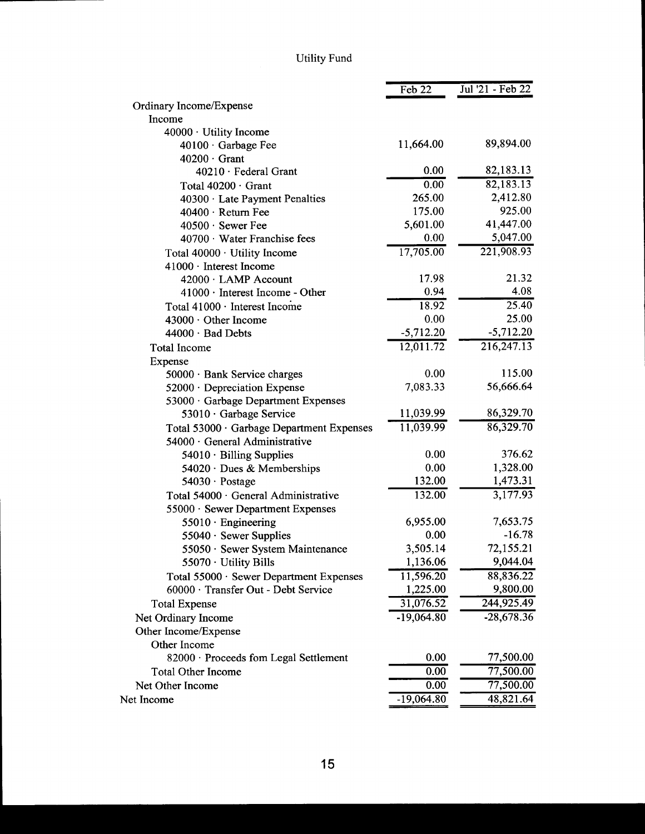# Utility Fund

|                                           | Feb 22       | Jul '21 - Feb 22 |
|-------------------------------------------|--------------|------------------|
| Ordinary Income/Expense                   |              |                  |
| Income                                    |              |                  |
| 40000 · Utility Income                    |              |                  |
| 40100 · Garbage Fee                       | 11,664.00    | 89,894.00        |
| $40200 \cdot$ Grant                       |              |                  |
| 40210 · Federal Grant                     | 0.00         | 82,183.13        |
| Total 40200 · Grant                       | 0.00         | 82,183.13        |
| $40300 \cdot$ Late Payment Penalties      | 265.00       | 2,412.80         |
| $40400 \cdot$ Return Fee                  | 175.00       | 925.00           |
| $40500 \cdot$ Sewer Fee                   | 5,601.00     | 41,447.00        |
| 40700 · Water Franchise fees              | $0.00\,$     | 5,047.00         |
| Total 40000 · Utility Income              | 17,705.00    | 221,908.93       |
| 41000 · Interest Income                   |              |                  |
| 42000 · LAMP Account                      | 17.98        | 21.32            |
| $41000 \cdot$ Interest Income - Other     | 0.94         | 4.08             |
| Total 41000 · Interest Income             | 18.92        | 25.40            |
| 43000 · Other Income                      | 0.00         | 25.00            |
| $44000 \cdot$ Bad Debts                   | $-5,712.20$  | $-5,712.20$      |
| <b>Total Income</b>                       | 12,011.72    | 216,247.13       |
| Expense                                   |              |                  |
| 50000 · Bank Service charges              | 0.00         | 115.00           |
| 52000 · Depreciation Expense              | 7,083.33     | 56,666.64        |
| 53000 · Garbage Department Expenses       |              |                  |
| 53010 · Garbage Service                   | 11,039.99    | 86,329.70        |
| Total 53000 · Garbage Department Expenses | 11,039.99    | 86,329.70        |
| 54000 · General Administrative            |              |                  |
| $54010 \cdot$ Billing Supplies            | 0.00         | 376.62           |
| 54020 · Dues & Memberships                | 0.00         | 1,328.00         |
| $54030 \cdot$ Postage                     | 132.00       | 1,473.31         |
| Total 54000 · General Administrative      | 132.00       | 3,177.93         |
| 55000 · Sewer Department Expenses         |              |                  |
| $55010 \cdot$ Engineering                 | 6,955.00     | 7,653.75         |
| $55040 \cdot$ Sewer Supplies              | 0.00         | $-16.78$         |
| 55050 · Sewer System Maintenance          | 3,505.14     | 72,155.21        |
| 55070 · Utility Bills                     | 1,136.06     | 9,044.04         |
| Total 55000 · Sewer Department Expenses   | 11,596.20    | 88,836.22        |
| 60000 · Transfer Out - Debt Service       | 1,225.00     | 9,800.00         |
| <b>Total Expense</b>                      | 31,076.52    | 244,925.49       |
| Net Ordinary Income                       | $-19,064.80$ | $-28,678.36$     |
| Other Income/Expense                      |              |                  |
| Other Income                              |              |                  |
| 82000 · Proceeds fom Legal Settlement     | 0.00         | 77,500.00        |
| <b>Total Other Income</b>                 | 0.00         | 77,500.00        |
| Net Other Income                          | 0.00         | 77,500.00        |
| Net Income                                | $-19,064.80$ | 48,821.64        |
|                                           |              |                  |